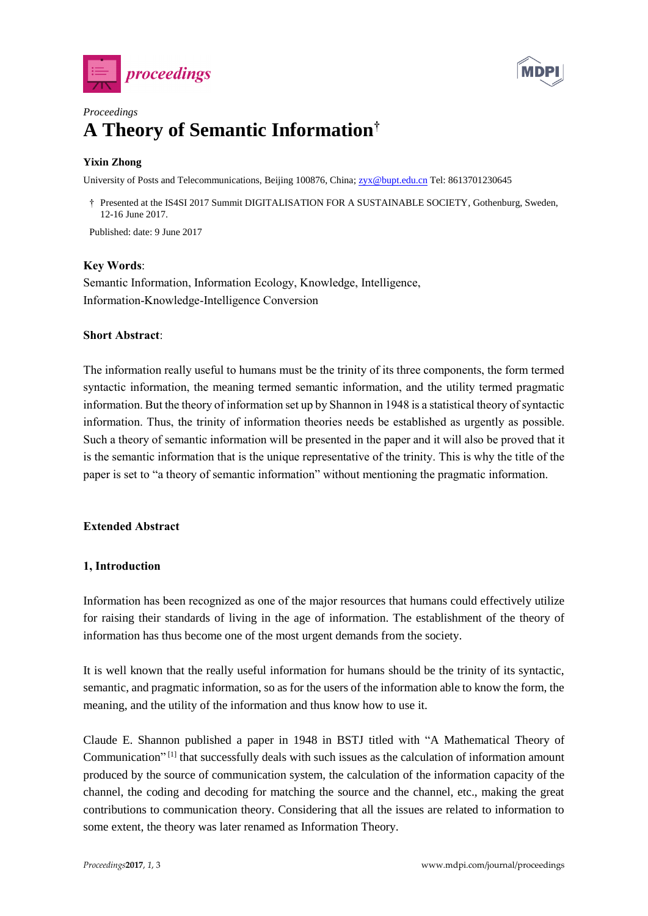



# *Proceedings* **A Theory of Semantic Information†**

# **Yixin Zhong**

University of Posts and Telecommunications, Beijing 100876, China; [zyx@bupt.edu.cn](mailto:zyx@bupt.edu.cn) Tel: 8613701230645

† Presented at the IS4SI 2017 Summit DIGITALISATION FOR A SUSTAINABLE SOCIETY, Gothenburg, Sweden, 12-16 June 2017.

Published: date: 9 June 2017

# **Key Words**:

Semantic Information, Information Ecology, Knowledge, Intelligence, Information-Knowledge-Intelligence Conversion

### **Short Abstract**:

The information really useful to humans must be the trinity of its three components, the form termed syntactic information, the meaning termed semantic information, and the utility termed pragmatic information. But the theory of information set up by Shannon in 1948 is a statistical theory of syntactic information. Thus, the trinity of information theories needs be established as urgently as possible. Such a theory of semantic information will be presented in the paper and it will also be proved that it is the semantic information that is the unique representative of the trinity. This is why the title of the paper is set to "a theory of semantic information" without mentioning the pragmatic information.

# **Extended Abstract**

# **1, Introduction**

Information has been recognized as one of the major resources that humans could effectively utilize for raising their standards of living in the age of information. The establishment of the theory of information has thus become one of the most urgent demands from the society.

It is well known that the really useful information for humans should be the trinity of its syntactic, semantic, and pragmatic information, so as for the users of the information able to know the form, the meaning, and the utility of the information and thus know how to use it.

Claude E. Shannon published a paper in 1948 in BSTJ titled with "A Mathematical Theory of Communication"<sup>[1]</sup> that successfully deals with such issues as the calculation of information amount produced by the source of communication system, the calculation of the information capacity of the channel, the coding and decoding for matching the source and the channel, etc., making the great contributions to communication theory. Considering that all the issues are related to information to some extent, the theory was later renamed as Information Theory.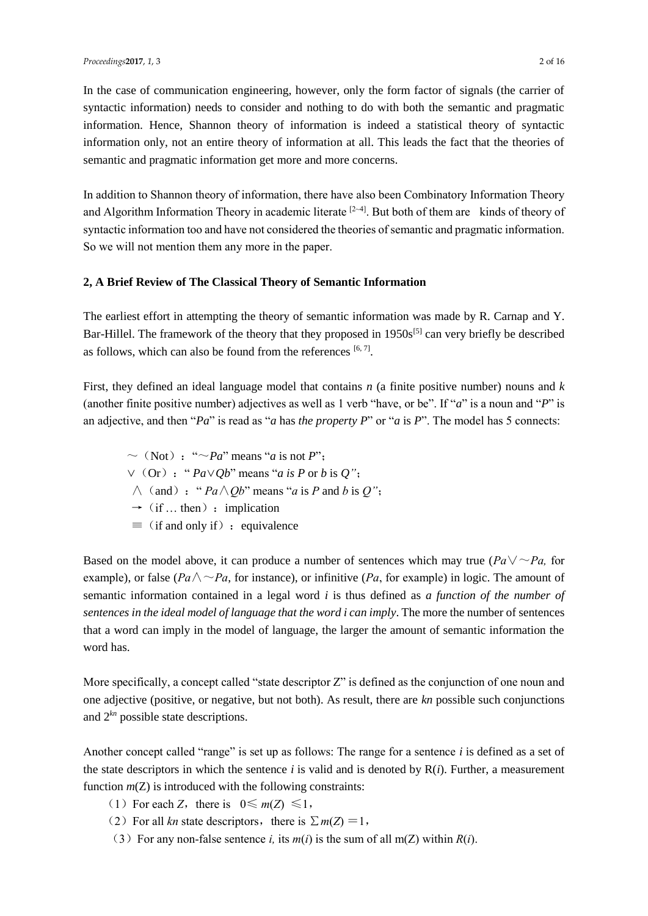In the case of communication engineering, however, only the form factor of signals (the carrier of syntactic information) needs to consider and nothing to do with both the semantic and pragmatic information. Hence, Shannon theory of information is indeed a statistical theory of syntactic information only, not an entire theory of information at all. This leads the fact that the theories of semantic and pragmatic information get more and more concerns.

In addition to Shannon theory of information, there have also been Combinatory Information Theory and Algorithm Information Theory in academic literate <sup>[2~4]</sup>. But both of them are kinds of theory of syntactic information too and have not considered the theories of semantic and pragmatic information. So we will not mention them any more in the paper.

### **2, A Brief Review of The Classical Theory of Semantic Information**

The earliest effort in attempting the theory of semantic information was made by R. Carnap and Y. Bar-Hillel. The framework of the theory that they proposed in  $1950s^{5}$  can very briefly be described as follows, which can also be found from the references  $[6, 7]$ .

First, they defined an ideal language model that contains *n* (a finite positive number) nouns and *k* (another finite positive number) adjectives as well as 1 verb "have, or be". If "*a*" is a noun and "*P*" is an adjective, and then "*Pa*" is read as "*a* has *the property P*" or "*a* is *P*". The model has 5 connects:

 $\sim$  (Not): " $\sim$ *Pa*" means "*a* is not *P*"; ∨(Or):" *Pa*∨*Qb*" means "*a is P* or *b* is *Q"*;  $\wedge$  (and): "  $Pa \wedge Ob$ " means "*a* is *P* and *b* is *Q*";  $\rightarrow$  (if ... then) : implication  $\equiv$  (if and only if): equivalence

Based on the model above, it can produce a number of sentences which may true ( $Pa\sqrt{\sim Pa}$ , for example), or false ( $Pa \wedge \neg Pa$ , for instance), or infinitive ( $Pa$ , for example) in logic. The amount of semantic information contained in a legal word *i* is thus defined as *a function of the number of sentences in the ideal model of language that the word i can imply*. The more the number of sentences that a word can imply in the model of language, the larger the amount of semantic information the word has.

More specifically, a concept called "state descriptor Z" is defined as the conjunction of one noun and one adjective (positive, or negative, but not both). As result, there are *kn* possible such conjunctions and 2*kn* possible state descriptions.

Another concept called "range" is set up as follows: The range for a sentence *i* is defined as a set of the state descriptors in which the sentence  $i$  is valid and is denoted by  $R(i)$ . Further, a measurement function  $m(Z)$  is introduced with the following constraints:

- (1) For each *Z*, there is  $0 \le m(Z) \le 1$ ,
- (2) For all *kn* state descriptors, there is  $\sum m(Z) = 1$ ,
- (3) For any non-false sentence *i*, its  $m(i)$  is the sum of all  $m(Z)$  within  $R(i)$ .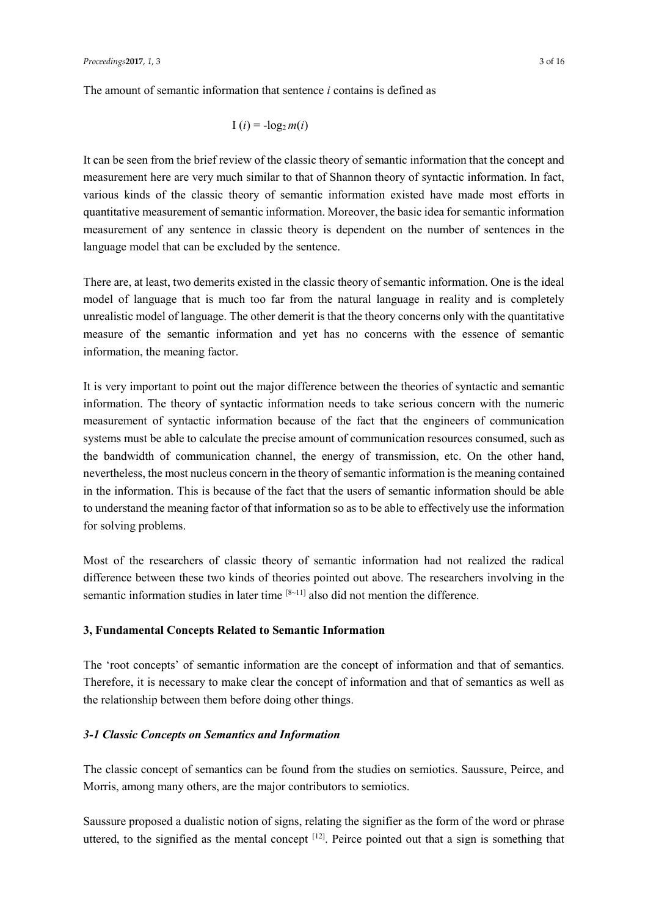The amount of semantic information that sentence *i* contains is defined as

$$
I(i) = -\log_2 m(i)
$$

It can be seen from the brief review of the classic theory of semantic information that the concept and measurement here are very much similar to that of Shannon theory of syntactic information. In fact, various kinds of the classic theory of semantic information existed have made most efforts in quantitative measurement of semantic information. Moreover, the basic idea for semantic information measurement of any sentence in classic theory is dependent on the number of sentences in the language model that can be excluded by the sentence.

There are, at least, two demerits existed in the classic theory of semantic information. One is the ideal model of language that is much too far from the natural language in reality and is completely unrealistic model of language. The other demerit is that the theory concerns only with the quantitative measure of the semantic information and yet has no concerns with the essence of semantic information, the meaning factor.

It is very important to point out the major difference between the theories of syntactic and semantic information. The theory of syntactic information needs to take serious concern with the numeric measurement of syntactic information because of the fact that the engineers of communication systems must be able to calculate the precise amount of communication resources consumed, such as the bandwidth of communication channel, the energy of transmission, etc. On the other hand, nevertheless, the most nucleus concern in the theory of semantic information is the meaning contained in the information. This is because of the fact that the users of semantic information should be able to understand the meaning factor of that information so as to be able to effectively use the information for solving problems.

Most of the researchers of classic theory of semantic information had not realized the radical difference between these two kinds of theories pointed out above. The researchers involving in the semantic information studies in later time [8~11] also did not mention the difference.

# **3, Fundamental Concepts Related to Semantic Information**

The 'root concepts' of semantic information are the concept of information and that of semantics. Therefore, it is necessary to make clear the concept of information and that of semantics as well as the relationship between them before doing other things.

# *3-1 Classic Concepts on Semantics and Information*

The classic concept of semantics can be found from the studies on semiotics. Saussure, Peirce, and Morris, among many others, are the major contributors to semiotics.

Saussure proposed a dualistic notion of signs, relating the signifier as the form of the word or phrase uttered, to the signified as the mental concept  $[12]$ . Peirce pointed out that a sign is something that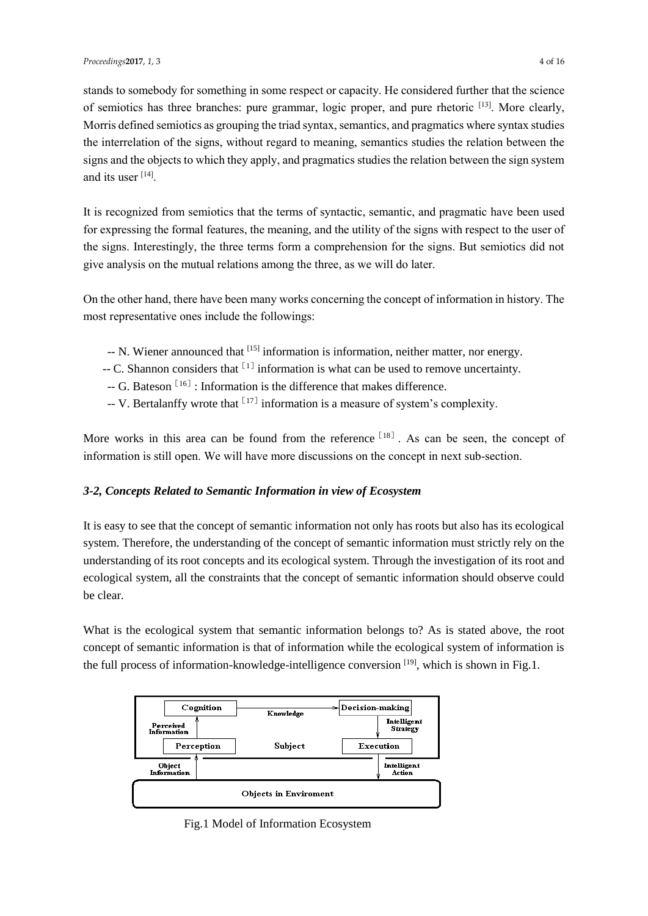stands to somebody for something in some respect or capacity. He considered further that the science of semiotics has three branches: pure grammar, logic proper, and pure rhetoric [13]. More clearly, Morris defined semiotics as grouping the triad syntax, semantics, and pragmatics where syntax studies the interrelation of the signs, without regard to meaning, semantics studies the relation between the signs and the objects to which they apply, and pragmatics studies the relation between the sign system and its user [14].

It is recognized from semiotics that the terms of syntactic, semantic, and pragmatic have been used for expressing the formal features, the meaning, and the utility of the signs with respect to the user of the signs. Interestingly, the three terms form a comprehension for the signs. But semiotics did not give analysis on the mutual relations among the three, as we will do later.

On the other hand, there have been many works concerning the concept of information in history. The most representative ones include the followings:

- -- N. Wiener announced that [15] information is information, neither matter, nor energy.
- $-$  C. Shannon considers that  $[1]$  information is what can be used to remove uncertainty.
- $G$ . Bateson<sup>[16]</sup>: Information is the difference that makes difference.
- -- V. Bertalanffy wrote that  $[17]$  information is a measure of system's complexity.

More works in this area can be found from the reference  $[18]$ . As can be seen, the concept of information is still open. We will have more discussions on the concept in next sub-section.

# *3-2, Concepts Related to Semantic Information in view of Ecosystem*

It is easy to see that the concept of semantic information not only has roots but also has its ecological system. Therefore, the understanding of the concept of semantic information must strictly rely on the understanding of its root concepts and its ecological system. Through the investigation of its root and ecological system, all the constraints that the concept of semantic information should observe could be clear.

What is the ecological system that semantic information belongs to? As is stated above, the root concept of semantic information is that of information while the ecological system of information is the full process of information-knowledge-intelligence conversion [19], which is shown in Fig.1.



Fig.1 Model of Information Ecosystem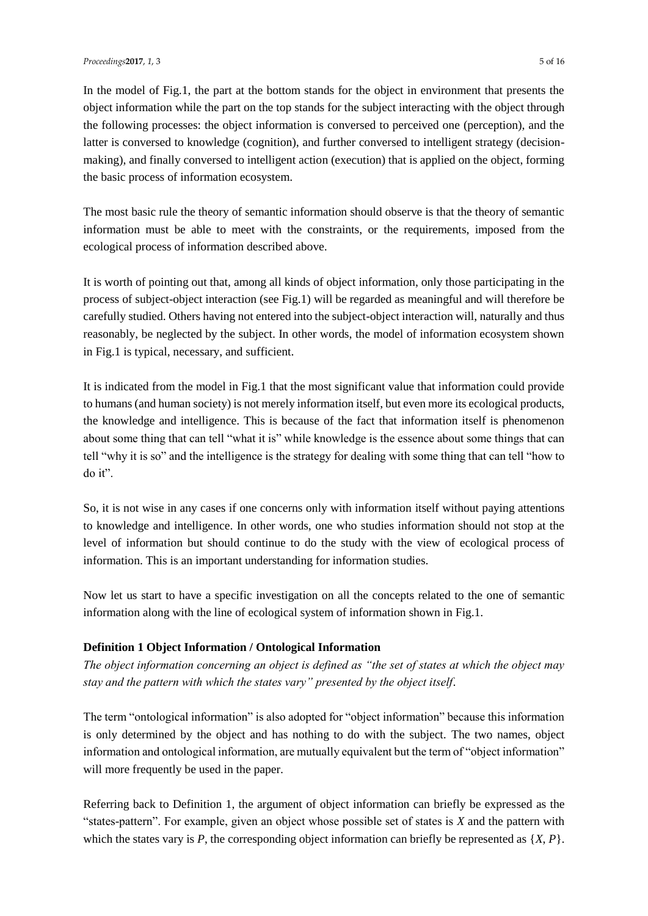In the model of Fig.1, the part at the bottom stands for the object in environment that presents the object information while the part on the top stands for the subject interacting with the object through the following processes: the object information is conversed to perceived one (perception), and the latter is conversed to knowledge (cognition), and further conversed to intelligent strategy (decisionmaking), and finally conversed to intelligent action (execution) that is applied on the object, forming the basic process of information ecosystem.

The most basic rule the theory of semantic information should observe is that the theory of semantic information must be able to meet with the constraints, or the requirements, imposed from the ecological process of information described above.

It is worth of pointing out that, among all kinds of object information, only those participating in the process of subject-object interaction (see Fig.1) will be regarded as meaningful and will therefore be carefully studied. Others having not entered into the subject-object interaction will, naturally and thus reasonably, be neglected by the subject. In other words, the model of information ecosystem shown in Fig.1 is typical, necessary, and sufficient.

It is indicated from the model in Fig.1 that the most significant value that information could provide to humans (and human society) is not merely information itself, but even more its ecological products, the knowledge and intelligence. This is because of the fact that information itself is phenomenon about some thing that can tell "what it is" while knowledge is the essence about some things that can tell "why it is so" and the intelligence is the strategy for dealing with some thing that can tell "how to do it".

So, it is not wise in any cases if one concerns only with information itself without paying attentions to knowledge and intelligence. In other words, one who studies information should not stop at the level of information but should continue to do the study with the view of ecological process of information. This is an important understanding for information studies.

Now let us start to have a specific investigation on all the concepts related to the one of semantic information along with the line of ecological system of information shown in Fig.1.

# **Definition 1 Object Information / Ontological Information**

*The object information concerning an object is defined as "the set of states at which the object may stay and the pattern with which the states vary" presented by the object itself*.

The term "ontological information" is also adopted for "object information" because this information is only determined by the object and has nothing to do with the subject. The two names, object information and ontological information, are mutually equivalent but the term of "object information" will more frequently be used in the paper.

Referring back to Definition 1, the argument of object information can briefly be expressed as the "states-pattern". For example, given an object whose possible set of states is *X* and the pattern with which the states vary is *P*, the corresponding object information can briefly be represented as {*X*, *P*}.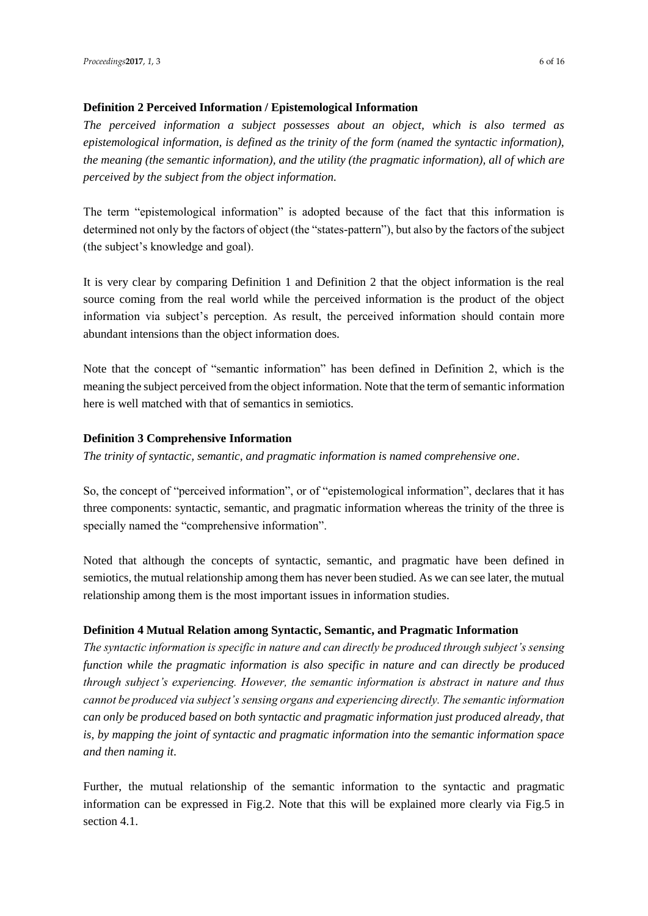# **Definition 2 Perceived Information / Epistemological Information**

*The perceived information a subject possesses about an object, which is also termed as epistemological information, is defined as the trinity of the form (named the syntactic information), the meaning (the semantic information), and the utility (the pragmatic information), all of which are perceived by the subject from the object information.* 

The term "epistemological information" is adopted because of the fact that this information is determined not only by the factors of object (the "states-pattern"), but also by the factors of the subject (the subject's knowledge and goal).

It is very clear by comparing Definition 1 and Definition 2 that the object information is the real source coming from the real world while the perceived information is the product of the object information via subject's perception. As result, the perceived information should contain more abundant intensions than the object information does.

Note that the concept of "semantic information" has been defined in Definition 2, which is the meaning the subject perceived from the object information. Note that the term of semantic information here is well matched with that of semantics in semiotics.

# **Definition 3 Comprehensive Information**

*The trinity of syntactic, semantic, and pragmatic information is named comprehensive one*.

So, the concept of "perceived information", or of "epistemological information", declares that it has three components: syntactic, semantic, and pragmatic information whereas the trinity of the three is specially named the "comprehensive information".

Noted that although the concepts of syntactic, semantic, and pragmatic have been defined in semiotics, the mutual relationship among them has never been studied. As we can see later, the mutual relationship among them is the most important issues in information studies.

# **Definition 4 Mutual Relation among Syntactic, Semantic, and Pragmatic Information**

*The syntactic information is specific in nature and can directly be produced through subject's sensing function while the pragmatic information is also specific in nature and can directly be produced through subject's experiencing. However, the semantic information is abstract in nature and thus cannot be produced via subject's sensing organs and experiencing directly. The semantic information can only be produced based on both syntactic and pragmatic information just produced already, that is, by mapping the joint of syntactic and pragmatic information into the semantic information space and then naming it*.

Further, the mutual relationship of the semantic information to the syntactic and pragmatic information can be expressed in Fig.2. Note that this will be explained more clearly via Fig.5 in section 4.1.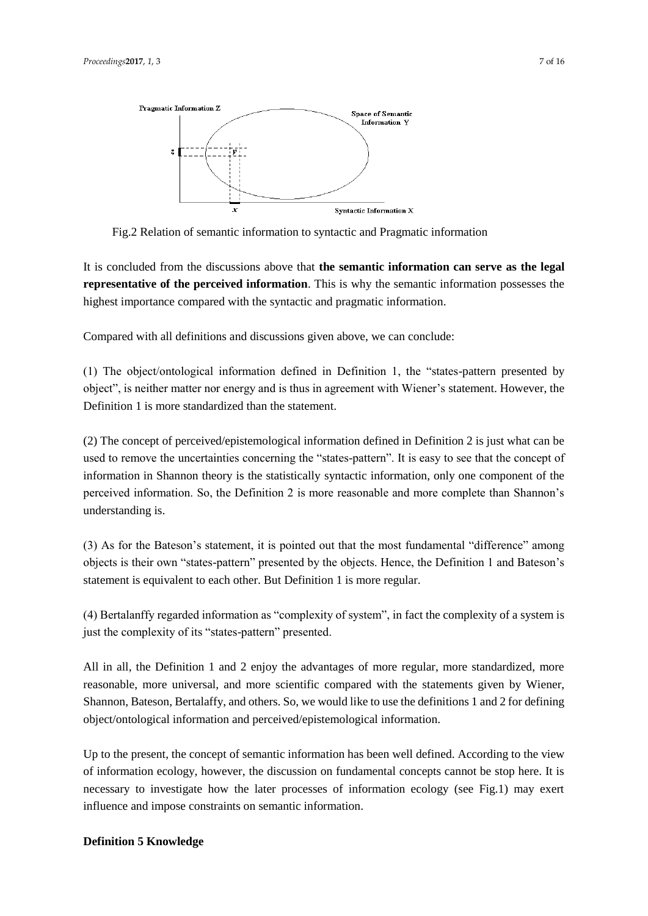

Fig.2 Relation of semantic information to syntactic and Pragmatic information

It is concluded from the discussions above that **the semantic information can serve as the legal representative of the perceived information**. This is why the semantic information possesses the highest importance compared with the syntactic and pragmatic information.

Compared with all definitions and discussions given above, we can conclude:

(1) The object/ontological information defined in Definition 1, the "states-pattern presented by object", is neither matter nor energy and is thus in agreement with Wiener's statement. However, the Definition 1 is more standardized than the statement.

(2) The concept of perceived/epistemological information defined in Definition 2 is just what can be used to remove the uncertainties concerning the "states-pattern". It is easy to see that the concept of information in Shannon theory is the statistically syntactic information, only one component of the perceived information. So, the Definition 2 is more reasonable and more complete than Shannon's understanding is.

(3) As for the Bateson's statement, it is pointed out that the most fundamental "difference" among objects is their own "states-pattern" presented by the objects. Hence, the Definition 1 and Bateson's statement is equivalent to each other. But Definition 1 is more regular.

(4) Bertalanffy regarded information as "complexity of system", in fact the complexity of a system is just the complexity of its "states-pattern" presented.

All in all, the Definition 1 and 2 enjoy the advantages of more regular, more standardized, more reasonable, more universal, and more scientific compared with the statements given by Wiener, Shannon, Bateson, Bertalaffy, and others. So, we would like to use the definitions 1 and 2 for defining object/ontological information and perceived/epistemological information.

Up to the present, the concept of semantic information has been well defined. According to the view of information ecology, however, the discussion on fundamental concepts cannot be stop here. It is necessary to investigate how the later processes of information ecology (see Fig.1) may exert influence and impose constraints on semantic information.

#### **Definition 5 Knowledge**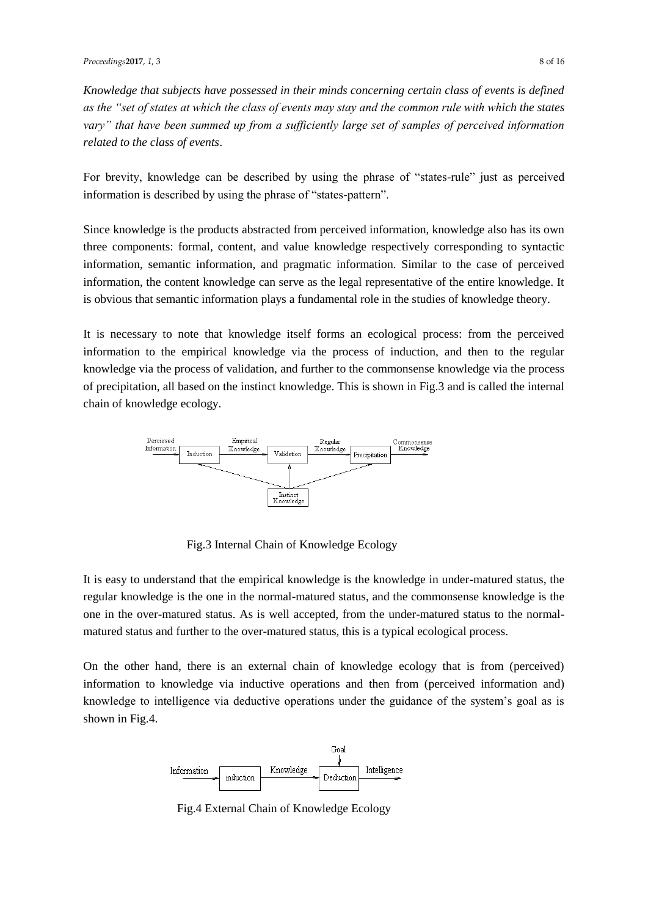*Knowledge that subjects have possessed in their minds concerning certain class of events is defined as the "set of states at which the class of events may stay and the common rule with which the states vary" that have been summed up from a sufficiently large set of samples of perceived information related to the class of events*.

For brevity, knowledge can be described by using the phrase of "states-rule" just as perceived information is described by using the phrase of "states-pattern".

Since knowledge is the products abstracted from perceived information, knowledge also has its own three components: formal, content, and value knowledge respectively corresponding to syntactic information, semantic information, and pragmatic information. Similar to the case of perceived information, the content knowledge can serve as the legal representative of the entire knowledge. It is obvious that semantic information plays a fundamental role in the studies of knowledge theory.

It is necessary to note that knowledge itself forms an ecological process: from the perceived information to the empirical knowledge via the process of induction, and then to the regular knowledge via the process of validation, and further to the commonsense knowledge via the process of precipitation, all based on the instinct knowledge. This is shown in Fig.3 and is called the internal chain of knowledge ecology.



Fig.3 Internal Chain of Knowledge Ecology

It is easy to understand that the empirical knowledge is the knowledge in under-matured status, the regular knowledge is the one in the normal-matured status, and the commonsense knowledge is the one in the over-matured status. As is well accepted, from the under-matured status to the normalmatured status and further to the over-matured status, this is a typical ecological process.

On the other hand, there is an external chain of knowledge ecology that is from (perceived) information to knowledge via inductive operations and then from (perceived information and) knowledge to intelligence via deductive operations under the guidance of the system's goal as is shown in Fig.4.



Fig.4 External Chain of Knowledge Ecology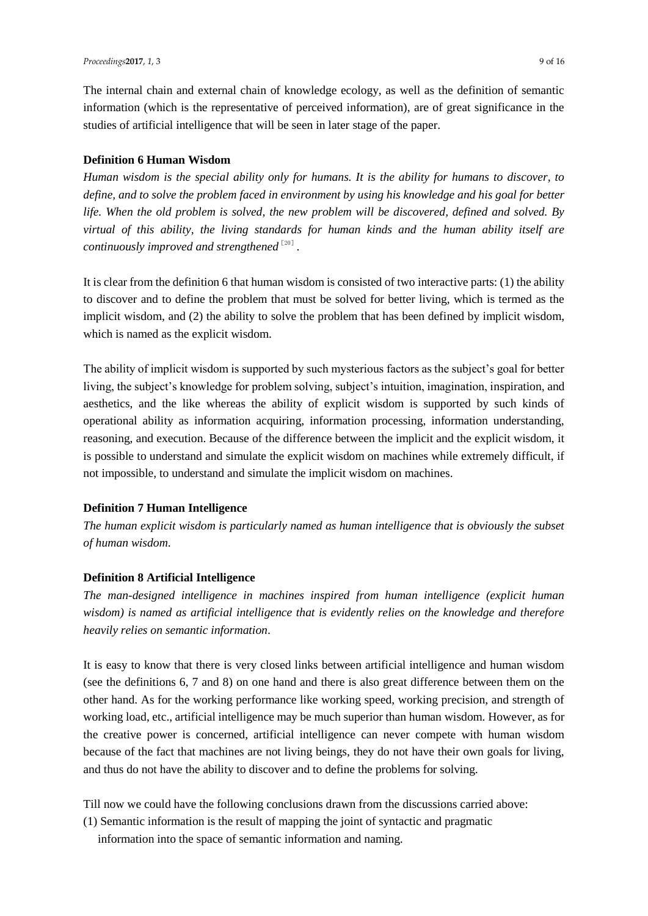The internal chain and external chain of knowledge ecology, as well as the definition of semantic information (which is the representative of perceived information), are of great significance in the studies of artificial intelligence that will be seen in later stage of the paper.

#### **Definition 6 Human Wisdom**

*Human wisdom is the special ability only for humans. It is the ability for humans to discover, to define, and to solve the problem faced in environment by using his knowledge and his goal for better life. When the old problem is solved, the new problem will be discovered, defined and solved. By virtual of this ability, the living standards for human kinds and the human ability itself are*  continuously improved and strengthened  $^{\text{\tiny{[20]}}}$  .

It is clear from the definition 6 that human wisdom is consisted of two interactive parts: (1) the ability to discover and to define the problem that must be solved for better living, which is termed as the implicit wisdom, and (2) the ability to solve the problem that has been defined by implicit wisdom, which is named as the explicit wisdom.

The ability of implicit wisdom is supported by such mysterious factors as the subject's goal for better living, the subject's knowledge for problem solving, subject's intuition, imagination, inspiration, and aesthetics, and the like whereas the ability of explicit wisdom is supported by such kinds of operational ability as information acquiring, information processing, information understanding, reasoning, and execution. Because of the difference between the implicit and the explicit wisdom, it is possible to understand and simulate the explicit wisdom on machines while extremely difficult, if not impossible, to understand and simulate the implicit wisdom on machines.

#### **Definition 7 Human Intelligence**

*The human explicit wisdom is particularly named as human intelligence that is obviously the subset of human wisdom*.

### **Definition 8 Artificial Intelligence**

*The man-designed intelligence in machines inspired from human intelligence (explicit human wisdom) is named as artificial intelligence that is evidently relies on the knowledge and therefore heavily relies on semantic information*.

It is easy to know that there is very closed links between artificial intelligence and human wisdom (see the definitions 6, 7 and 8) on one hand and there is also great difference between them on the other hand. As for the working performance like working speed, working precision, and strength of working load, etc., artificial intelligence may be much superior than human wisdom. However, as for the creative power is concerned, artificial intelligence can never compete with human wisdom because of the fact that machines are not living beings, they do not have their own goals for living, and thus do not have the ability to discover and to define the problems for solving.

Till now we could have the following conclusions drawn from the discussions carried above:

(1) Semantic information is the result of mapping the joint of syntactic and pragmatic

information into the space of semantic information and naming.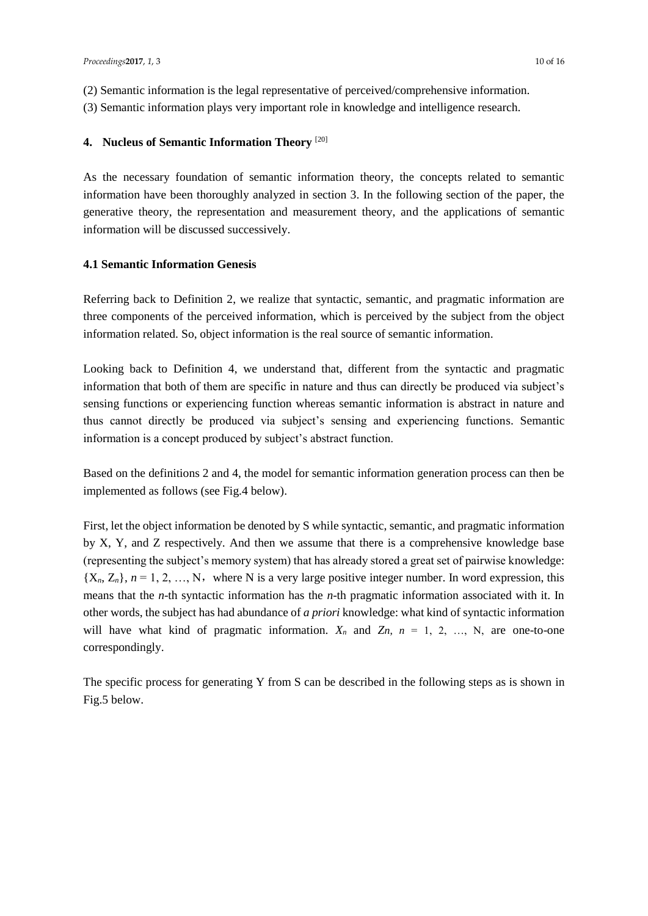- (2) Semantic information is the legal representative of perceived/comprehensive information.
- (3) Semantic information plays very important role in knowledge and intelligence research.

# **4. Nucleus of Semantic Information Theory** [20]

As the necessary foundation of semantic information theory, the concepts related to semantic information have been thoroughly analyzed in section 3. In the following section of the paper, the generative theory, the representation and measurement theory, and the applications of semantic information will be discussed successively.

# **4.1 Semantic Information Genesis**

Referring back to Definition 2, we realize that syntactic, semantic, and pragmatic information are three components of the perceived information, which is perceived by the subject from the object information related. So, object information is the real source of semantic information.

Looking back to Definition 4, we understand that, different from the syntactic and pragmatic information that both of them are specific in nature and thus can directly be produced via subject's sensing functions or experiencing function whereas semantic information is abstract in nature and thus cannot directly be produced via subject's sensing and experiencing functions. Semantic information is a concept produced by subject's abstract function.

Based on the definitions 2 and 4, the model for semantic information generation process can then be implemented as follows (see Fig.4 below).

First, let the object information be denoted by S while syntactic, semantic, and pragmatic information by X, Y, and Z respectively. And then we assume that there is a comprehensive knowledge base (representing the subject's memory system) that has already stored a great set of pairwise knowledge:  ${X_n, Z_n}, n = 1, 2, ..., N$ , where N is a very large positive integer number. In word expression, this means that the *n*-th syntactic information has the *n*-th pragmatic information associated with it. In other words, the subject has had abundance of *a priori* knowledge: what kind of syntactic information will have what kind of pragmatic information.  $X_n$  and  $Z_n$ ,  $n = 1, 2, ..., N$ , are one-to-one correspondingly.

The specific process for generating Y from S can be described in the following steps as is shown in Fig.5 below.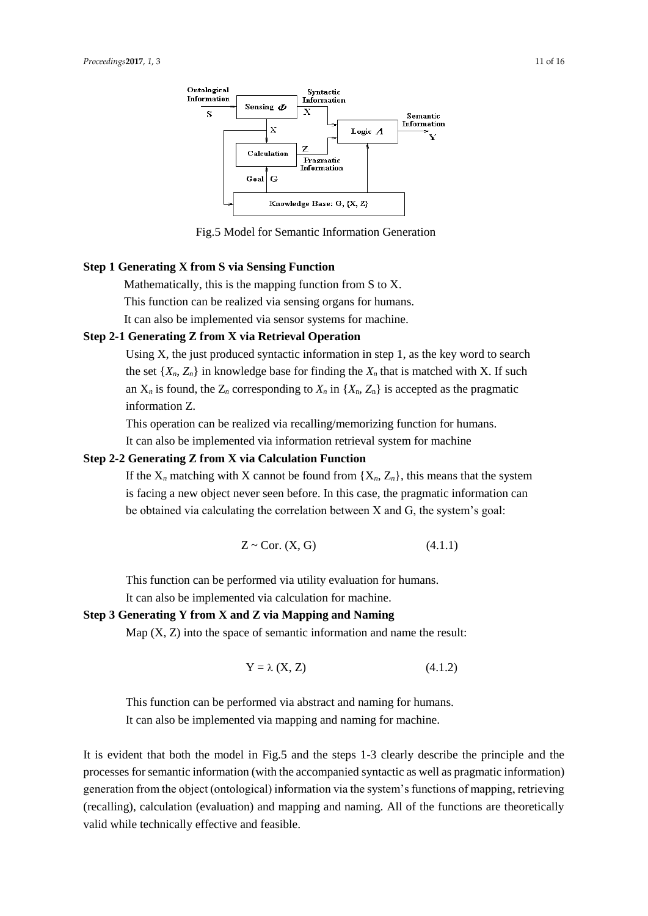

Fig.5 Model for Semantic Information Generation

# **Step 1 Generating X from S via Sensing Function**

Mathematically, this is the mapping function from S to X. This function can be realized via sensing organs for humans. It can also be implemented via sensor systems for machine.

#### **Step 2-1 Generating Z from X via Retrieval Operation**

Using X, the just produced syntactic information in step 1, as the key word to search the set  $\{X_n, Z_n\}$  in knowledge base for finding the  $X_n$  that is matched with X. If such an  $X_n$  is found, the  $Z_n$  corresponding to  $X_n$  in  $\{X_n, Z_n\}$  is accepted as the pragmatic information Z.

This operation can be realized via recalling/memorizing function for humans.

It can also be implemented via information retrieval system for machine

# **Step 2-2 Generating Z from X via Calculation Function**

If the  $X_n$  matching with X cannot be found from  $\{X_n, Z_n\}$ , this means that the system is facing a new object never seen before. In this case, the pragmatic information can be obtained via calculating the correlation between X and G, the system's goal:

$$
Z \sim \text{Cor. (X, G)}\tag{4.1.1}
$$

This function can be performed via utility evaluation for humans.

It can also be implemented via calculation for machine.

### **Step 3 Generating Y from X and Z via Mapping and Naming**

Map  $(X, Z)$  into the space of semantic information and name the result:

$$
Y = \lambda (X, Z) \tag{4.1.2}
$$

This function can be performed via abstract and naming for humans. It can also be implemented via mapping and naming for machine.

It is evident that both the model in Fig.5 and the steps 1-3 clearly describe the principle and the processes for semantic information (with the accompanied syntactic as well as pragmatic information) generation from the object (ontological) information via the system's functions of mapping, retrieving (recalling), calculation (evaluation) and mapping and naming. All of the functions are theoretically valid while technically effective and feasible.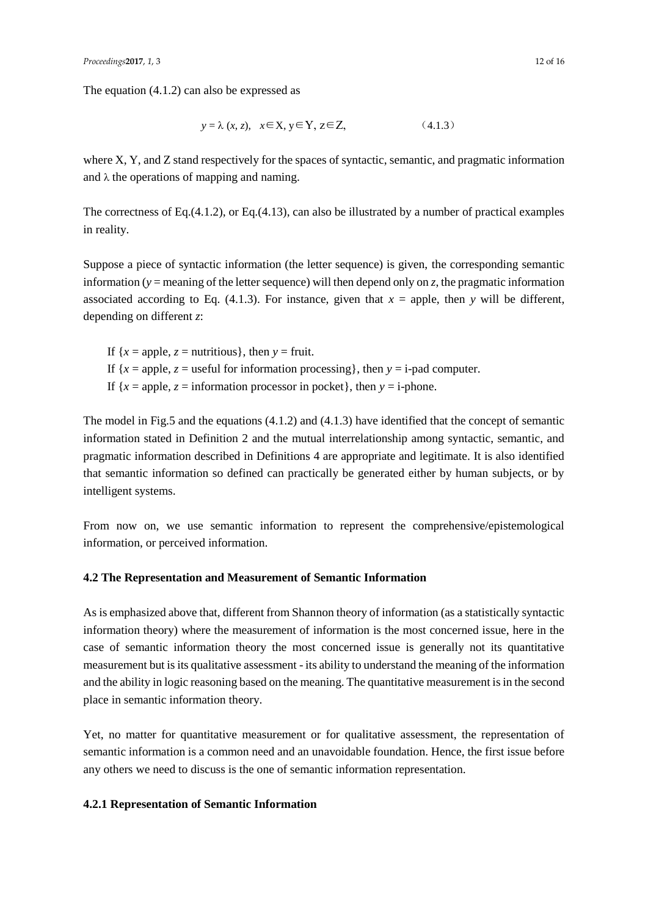The equation (4.1.2) can also be expressed as

$$
y = \lambda (x, z), \quad x \in \mathbf{X}, y \in \mathbf{Y}, z \in \mathbf{Z}, \tag{4.1.3}
$$

where X, Y, and Z stand respectively for the spaces of syntactic, semantic, and pragmatic information and  $\lambda$  the operations of mapping and naming.

The correctness of Eq.(4.1.2), or Eq.(4.13), can also be illustrated by a number of practical examples in reality.

Suppose a piece of syntactic information (the letter sequence) is given, the corresponding semantic information ( $y =$  meaning of the letter sequence) will then depend only on *z*, the pragmatic information associated according to Eq.  $(4.1.3)$ . For instance, given that  $x =$  apple, then *y* will be different, depending on different *z*:

If  ${x = apple, z = nutrition}$ , then  $y = fruit$ . If  ${x = apple, z = useful for information processing}$ , then  $y = i$ -pad computer. If  ${x = apple, z = information processor in pocket}$ , then  $y = i$ -phone.

The model in Fig.5 and the equations (4.1.2) and (4.1.3) have identified that the concept of semantic information stated in Definition 2 and the mutual interrelationship among syntactic, semantic, and pragmatic information described in Definitions 4 are appropriate and legitimate. It is also identified that semantic information so defined can practically be generated either by human subjects, or by intelligent systems.

From now on, we use semantic information to represent the comprehensive/epistemological information, or perceived information.

# **4.2 The Representation and Measurement of Semantic Information**

As is emphasized above that, different from Shannon theory of information (as a statistically syntactic information theory) where the measurement of information is the most concerned issue, here in the case of semantic information theory the most concerned issue is generally not its quantitative measurement but is its qualitative assessment - its ability to understand the meaning of the information and the ability in logic reasoning based on the meaning. The quantitative measurement is in the second place in semantic information theory.

Yet, no matter for quantitative measurement or for qualitative assessment, the representation of semantic information is a common need and an unavoidable foundation. Hence, the first issue before any others we need to discuss is the one of semantic information representation.

# **4.2.1 Representation of Semantic Information**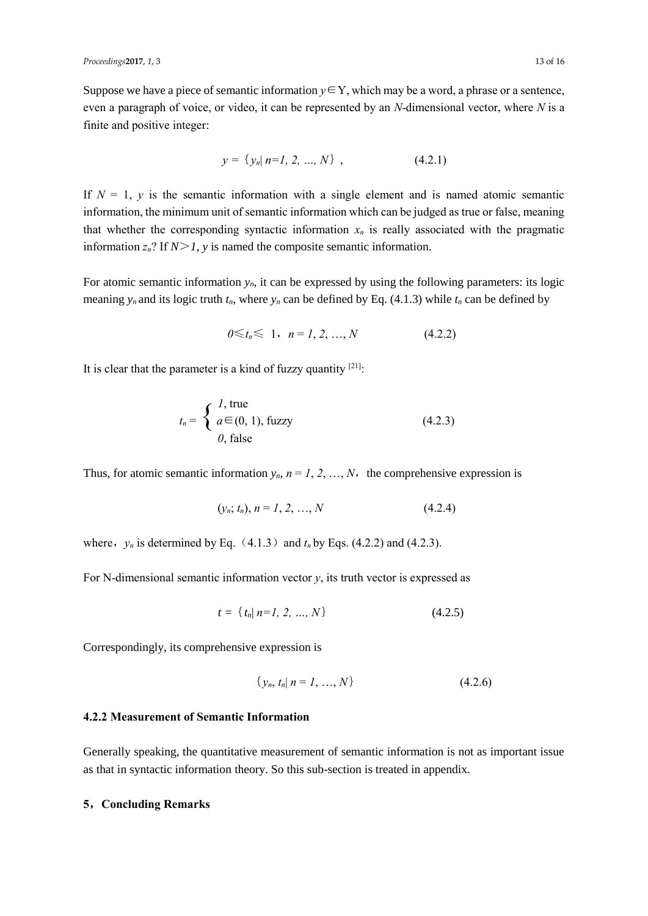Suppose we have a piece of semantic information  $y \in Y$ , which may be a word, a phrase or a sentence, even a paragraph of voice, or video, it can be represented by an *N*-dimensional vector, where *N* is a finite and positive integer:

$$
y = \{y_n | n=1, 2, ..., N\}, \qquad (4.2.1)
$$

If  $N = 1$ ,  $y$  is the semantic information with a single element and is named atomic semantic information, the minimum unit of semantic information which can be judged as true or false, meaning that whether the corresponding syntactic information  $x_n$  is really associated with the pragmatic information  $z_n$ ? If  $N>1$ , y is named the composite semantic information.

For atomic semantic information  $y_n$ , it can be expressed by using the following parameters: its logic meaning  $y_n$  and its logic truth  $t_n$ , where  $y_n$  can be defined by Eq. (4.1.3) while  $t_n$  can be defined by

$$
0 \leq t_n \leq 1, \quad n = 1, 2, ..., N \tag{4.2.2}
$$

It is clear that the parameter is a kind of fuzzy quantity  $[21]$ .

$$
t_n = \begin{cases} l, \text{true} \\ a \in (0, 1), \text{fuzzy} \\ 0, \text{ false} \end{cases} \tag{4.2.3}
$$

Thus, for atomic semantic information  $y_n$ ,  $n = 1, 2, ..., N$ , the comprehensive expression is

$$
(y_n; t_n), n = 1, 2, ..., N
$$
\n(4.2.4)

where,  $y_n$  is determined by Eq. (4.1.3) and  $t_n$  by Eqs. (4.2.2) and (4.2.3).

For N-dimensional semantic information vector  $y$ , its truth vector is expressed as

$$
t = \{ t_n | n = 1, 2, ..., N \}
$$
 (4.2.5)

Correspondingly, its comprehensive expression is

$$
\{y_n, t_n | n = 1, ..., N\}
$$
\n(4.2.6)

#### **4.2.2 Measurement of Semantic Information**

Generally speaking, the quantitative measurement of semantic information is not as important issue as that in syntactic information theory. So this sub-section is treated in appendix.

#### **5**,**Concluding Remarks**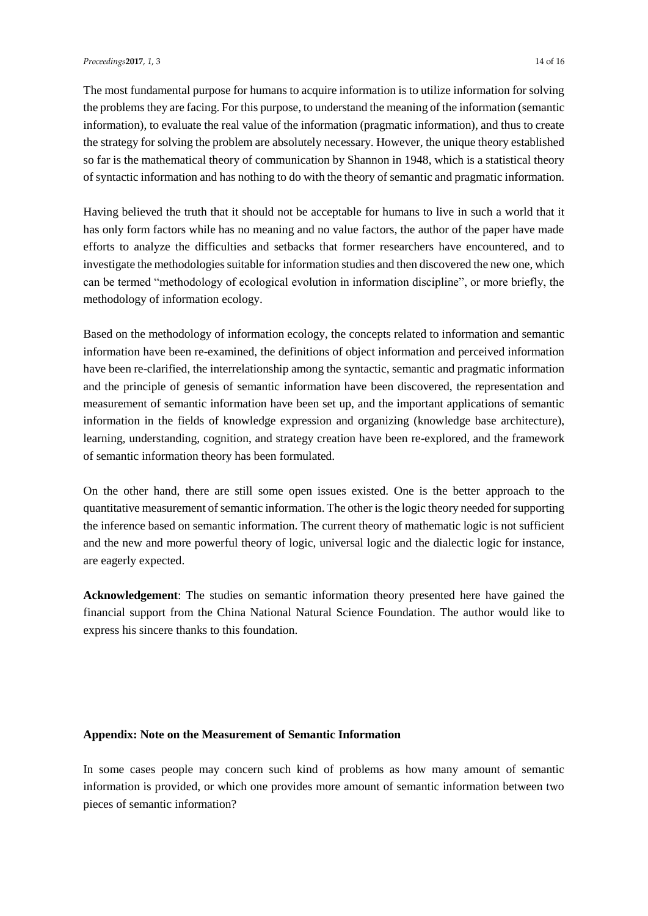The most fundamental purpose for humans to acquire information is to utilize information for solving the problems they are facing. For this purpose, to understand the meaning of the information (semantic information), to evaluate the real value of the information (pragmatic information), and thus to create the strategy for solving the problem are absolutely necessary. However, the unique theory established so far is the mathematical theory of communication by Shannon in 1948, which is a statistical theory of syntactic information and has nothing to do with the theory of semantic and pragmatic information.

Having believed the truth that it should not be acceptable for humans to live in such a world that it has only form factors while has no meaning and no value factors, the author of the paper have made efforts to analyze the difficulties and setbacks that former researchers have encountered, and to investigate the methodologies suitable for information studies and then discovered the new one, which can be termed "methodology of ecological evolution in information discipline", or more briefly, the methodology of information ecology.

Based on the methodology of information ecology, the concepts related to information and semantic information have been re-examined, the definitions of object information and perceived information have been re-clarified, the interrelationship among the syntactic, semantic and pragmatic information and the principle of genesis of semantic information have been discovered, the representation and measurement of semantic information have been set up, and the important applications of semantic information in the fields of knowledge expression and organizing (knowledge base architecture), learning, understanding, cognition, and strategy creation have been re-explored, and the framework of semantic information theory has been formulated.

On the other hand, there are still some open issues existed. One is the better approach to the quantitative measurement of semantic information. The other is the logic theory needed for supporting the inference based on semantic information. The current theory of mathematic logic is not sufficient and the new and more powerful theory of logic, universal logic and the dialectic logic for instance, are eagerly expected.

**Acknowledgement**: The studies on semantic information theory presented here have gained the financial support from the China National Natural Science Foundation. The author would like to express his sincere thanks to this foundation.

#### **Appendix: Note on the Measurement of Semantic Information**

In some cases people may concern such kind of problems as how many amount of semantic information is provided, or which one provides more amount of semantic information between two pieces of semantic information?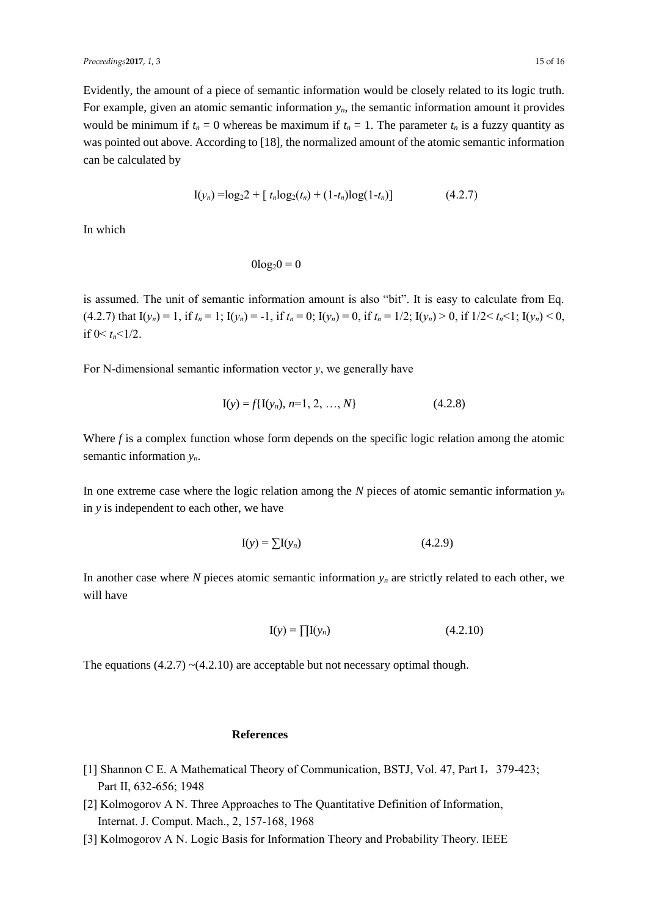Evidently, the amount of a piece of semantic information would be closely related to its logic truth. For example, given an atomic semantic information *yn*, the semantic information amount it provides would be minimum if  $t_n = 0$  whereas be maximum if  $t_n = 1$ . The parameter  $t_n$  is a fuzzy quantity as was pointed out above. According to [18], the normalized amount of the atomic semantic information can be calculated by

$$
I(y_n) = \log_2 2 + [t_n \log_2(t_n) + (1 - t_n) \log(1 - t_n)] \tag{4.2.7}
$$

In which

 $0\log_2 0 = 0$ 

is assumed. The unit of semantic information amount is also "bit". It is easy to calculate from Eq. (4.2.7) that  $I(y_n) = 1$ , if  $t_n = 1$ ;  $I(y_n) = -1$ , if  $t_n = 0$ ;  $I(y_n) = 0$ , if  $t_n = 1/2$ ;  $I(y_n) > 0$ , if  $1/2 < t_n < 1$ ;  $I(y_n) < 0$ , if  $0 < t_n < 1/2$ .

For N-dimensional semantic information vector  $y$ , we generally have

$$
I(y) = f\{I(y_n), n=1, 2, ..., N\}
$$
 (4.2.8)

Where *f* is a complex function whose form depends on the specific logic relation among the atomic semantic information *yn*.

In one extreme case where the logic relation among the *N* pieces of atomic semantic information  $y_n$ in *y* is independent to each other, we have

$$
\mathbf{I}(y) = \sum \mathbf{I}(y_n) \tag{4.2.9}
$$

In another case where *N* pieces atomic semantic information  $y_n$  are strictly related to each other, we will have

$$
\mathbf{I}(\mathbf{y}) = \prod \mathbf{I}(y_n) \tag{4.2.10}
$$

The equations  $(4.2.7)$   $\sim$   $(4.2.10)$  are acceptable but not necessary optimal though.

#### **References**

- [1] Shannon C E. A Mathematical Theory of Communication, BSTJ, Vol. 47, Part I,379-423; Part II, 632-656; 1948
- [2] Kolmogorov A N. Three Approaches to The Quantitative Definition of Information, Internat. J. Comput. Mach., 2, 157-168, 1968
- [3] Kolmogorov A N. Logic Basis for Information Theory and Probability Theory. IEEE